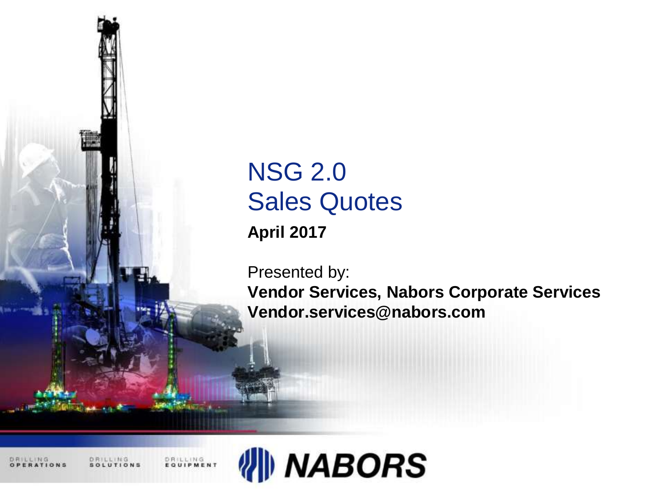

# NSG 2.0 Sales Quotes

**April 2017**

Presented by:

**Vendor Services, Nabors Corporate Services Vendor.services@nabors.com**

DRILLING: RATIONS DRILLING<br>EQUIPMENT

DRILLING

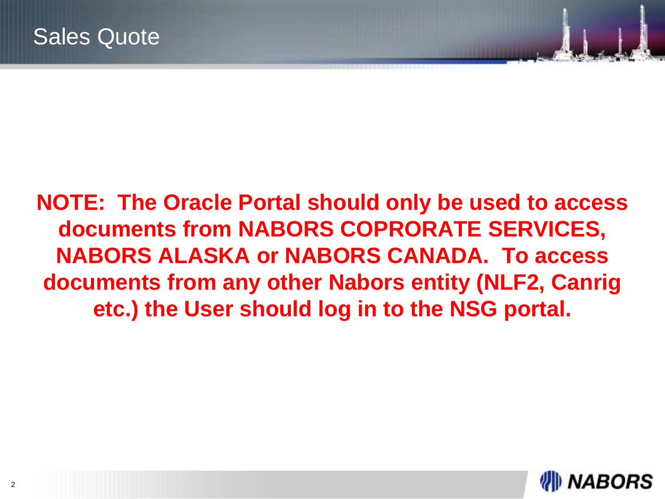# **NOTE: The Oracle Portal should only be used to access documents from NABORS COPRORATE SERVICES, NABORS ALASKA or NABORS CANADA. To access documents from any other Nabors entity (NLF2, Canrig etc.) the User should log in to the NSG portal.**

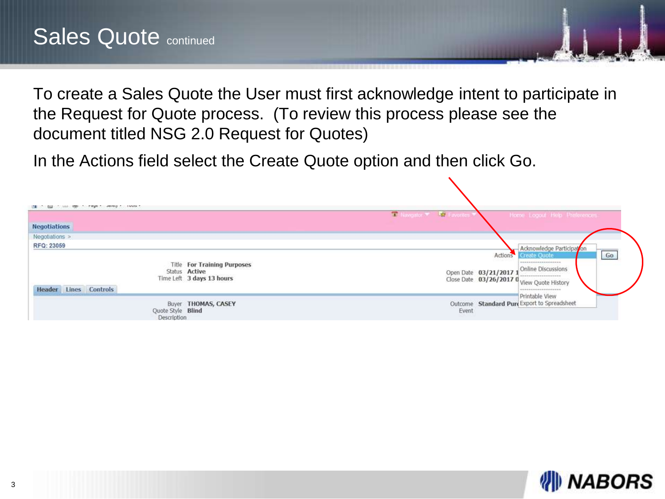To create a Sales Quote the User must first acknowledge intent to participate in the Request for Quote process. (To review this process please see the document titled NSG 2.0 Request for Quotes)

In the Actions field select the Create Quote option and then click Go.

| <b>LANGE</b><br>$\sim$ $\sim$                                                                                                  |                                                                                                                                                                                                                |
|--------------------------------------------------------------------------------------------------------------------------------|----------------------------------------------------------------------------------------------------------------------------------------------------------------------------------------------------------------|
| <b>Negotiations</b>                                                                                                            | <b>Lat Navigator W. Cavories W</b><br>Home Logout Help Proferences                                                                                                                                             |
| Negotiations >                                                                                                                 |                                                                                                                                                                                                                |
| RFQ: 23059<br><b>Title For Training Purposes</b><br>Status Active<br>Time Left 3 days 13 hours<br><b>Header</b> Lines Controls | Acknowledge Participation<br>Go<br>Actions<br><b>Create Quote</b><br>******************<br>Online Discussions<br>Open Date 03/21/2017 1<br>Close Date 03/26/2017 0 View Quote History<br>--------------------- |
| <b>Buyer THOMAS, CASEY</b><br>Quote Style Blind<br>Description                                                                 | Printable View<br>Outcome Standard Pure Export to Spreadsheet<br>Event                                                                                                                                         |

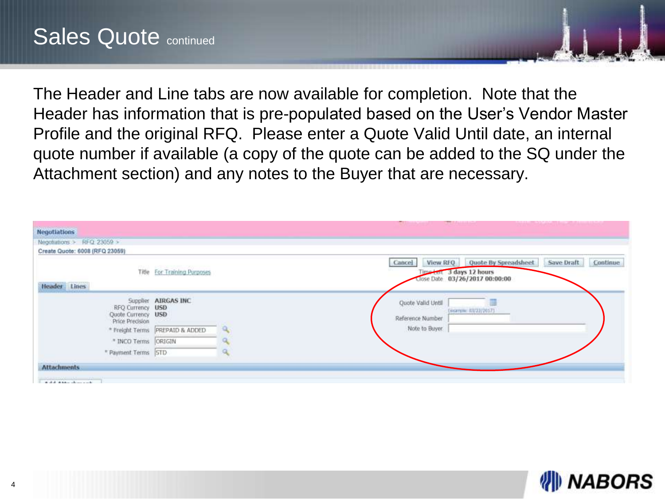The Header and Line tabs are now available for completion. Note that the Header has information that is pre-populated based on the User's Vendor Master Profile and the original RFQ. Please enter a Quote Valid Until date, an internal quote number if available (a copy of the quote can be added to the SQ under the Attachment section) and any notes to the Buyer that are necessary.

| <b>College Associates and Associates</b>                                                          |                                 | <b>TT Links America</b>               | <b>The Commission</b>                                                                       |            |          |
|---------------------------------------------------------------------------------------------------|---------------------------------|---------------------------------------|---------------------------------------------------------------------------------------------|------------|----------|
| <b>Negotiations</b>                                                                               |                                 |                                       |                                                                                             |            |          |
| Negotiations > RFQ 23059 >                                                                        |                                 |                                       |                                                                                             |            |          |
| Create Quote: 6008 (RFQ 23059)                                                                    |                                 |                                       |                                                                                             |            |          |
|                                                                                                   | Title For Training Purposes     | Cancel                                | View RFQ Quote By Spreadsheet<br>Time Lot 3 days 12 hours<br>Close Date 03/26/2017 00:00:00 | Save Draft | Continue |
| Header Lines                                                                                      |                                 |                                       |                                                                                             |            |          |
| RFQ Currency USD<br>Quote Currency USD<br>Price Precision                                         | Supplier AIRGAS INC             | Quote Valid Until<br>Reference Number | Excerplin: 03/22/2017)                                                                      |            |          |
|                                                                                                   | * Freight Terms PREPAID & ADDED | Note to Buyer                         |                                                                                             |            |          |
| * INCO Terms  ORIGIN                                                                              |                                 |                                       |                                                                                             |            |          |
| * Payment Terms STD                                                                               |                                 |                                       |                                                                                             |            |          |
| <b>Attachments</b>                                                                                |                                 |                                       |                                                                                             |            |          |
| and the American Constitution for Economist and the<br>the state in the company of the company of |                                 |                                       |                                                                                             |            |          |

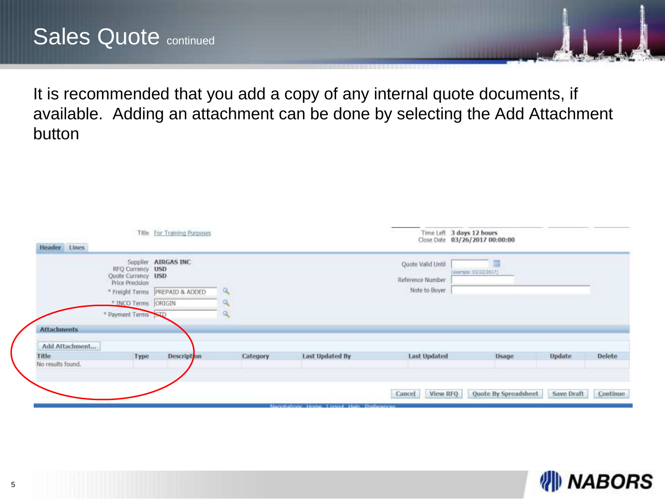It is recommended that you add a copy of any internal quote documents, if available. Adding an attachment can be done by selecting the Add Attachment button

| Header Lines       |                                                                              | Title For Training Purposes            |              |                                            |                                                        | Time Left 3 days 12 hours<br>Close Date 03/26/2017 00:00:00 |            |          |
|--------------------|------------------------------------------------------------------------------|----------------------------------------|--------------|--------------------------------------------|--------------------------------------------------------|-------------------------------------------------------------|------------|----------|
|                    | RFQ Currency USD<br>Quote Currency USD<br>Price Precision<br>* Freight Terms | Supplier AIRGAS INC<br>PREPAID & ADDED | $\mathbf{q}$ |                                            | Quote Valid Until<br>Reference Number<br>Note to Buyer | (example: 03/22/3017)                                       |            |          |
|                    | * INCO Terms ORIGIN                                                          |                                        |              |                                            |                                                        |                                                             |            |          |
|                    | * Payment Terms STD                                                          |                                        |              |                                            |                                                        |                                                             |            |          |
| <b>Attachments</b> |                                                                              |                                        |              |                                            |                                                        |                                                             |            |          |
| Add Attachment     |                                                                              |                                        |              |                                            |                                                        |                                                             |            |          |
| Title              | Type                                                                         | Descript on                            | Category     | Last Updated By                            | <b>Last Updated</b>                                    | Usage.                                                      | Update     | Delete   |
| No results found.  |                                                                              |                                        |              |                                            |                                                        |                                                             |            |          |
|                    |                                                                              |                                        |              |                                            |                                                        |                                                             |            |          |
|                    |                                                                              |                                        |              |                                            | View RFQ<br>Cancel                                     | Quote By Spreadsheet                                        | Save Draft | Continue |
|                    |                                                                              |                                        |              | Nagynotone Hamp, Lagyat Holn, Preferences. |                                                        |                                                             |            |          |

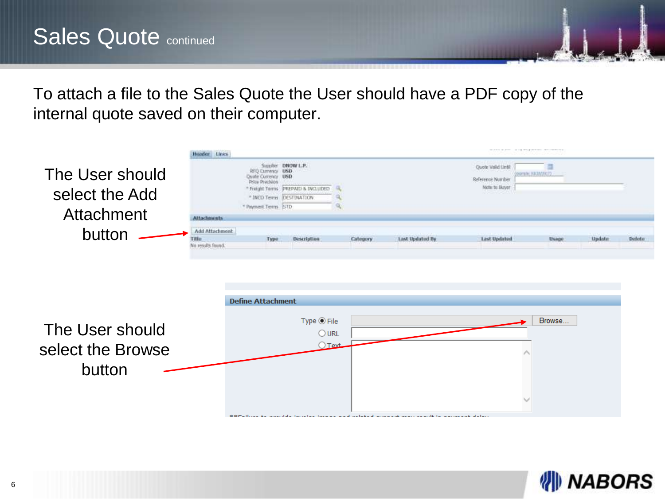To attach a file to the Sales Quote the User should have a PDF copy of the internal quote saved on their computer.

|                                                | Huader Lines               |                                                                                                              |                                                           |          |                                                                                                                   |                                                         | the total control of the state and the control control of the |        |        |
|------------------------------------------------|----------------------------|--------------------------------------------------------------------------------------------------------------|-----------------------------------------------------------|----------|-------------------------------------------------------------------------------------------------------------------|---------------------------------------------------------|---------------------------------------------------------------|--------|--------|
| The User should<br>select the Add              |                            | RFD Currency USD<br>Quote Currency USD<br>Price Precision<br>* INCO Terms DESTINATION<br>* Payment Terms 5TD | Supplier DNOW L.P.<br>* Freight Terms PREPAIL: & INCLUDED |          |                                                                                                                   | Quote Valid Lintil<br>Reference Number<br>Note to Buyer | (oceanic EUChMA) (7)                                          |        |        |
| Attachment                                     | <b>Attachments</b>         |                                                                                                              |                                                           |          |                                                                                                                   |                                                         |                                                               |        |        |
| button                                         | <b>Add Attachment</b>      |                                                                                                              |                                                           |          |                                                                                                                   |                                                         |                                                               |        |        |
|                                                | Filio<br>No results found. | Type                                                                                                         | Description                                               | Category | Last Updated By                                                                                                   | Last Updated                                            | Usage                                                         | Update | Delete |
| The User should<br>select the Browse<br>button |                            | <b>Define Attachment</b>                                                                                     | $Type \odot File\bigcirc URL\bigcap Text.$                |          | 3: 3: Fig. (1992) and some state surveyers surveyers and surface at an increased according to a consequent defect |                                                         | Browse                                                        |        |        |

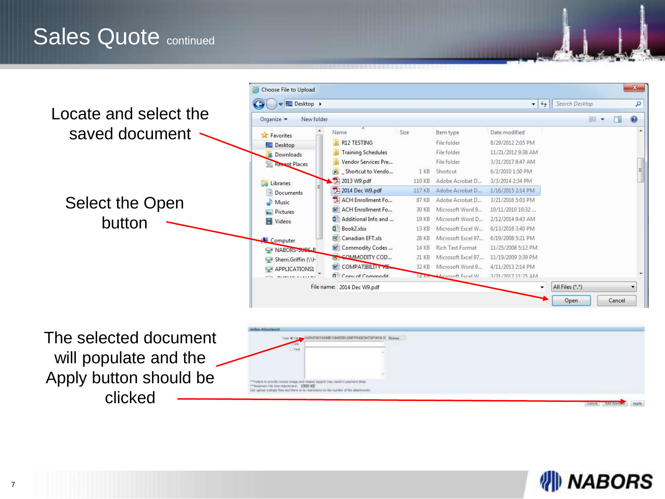# Sales Quote continued



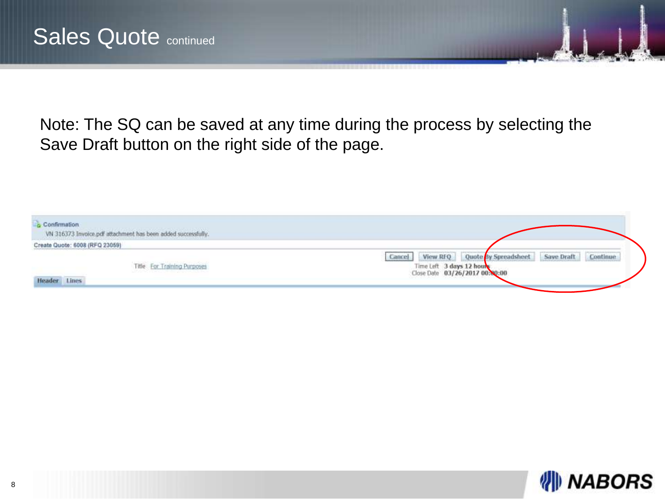Note: The SQ can be saved at any time during the process by selecting the Save Draft button on the right side of the page.

| Confirmation<br>VN 316373 Invoice.pdf attachment has been added successfully.             |                                                                                                                                  |
|-------------------------------------------------------------------------------------------|----------------------------------------------------------------------------------------------------------------------------------|
| Create Quote: 6008 (RFQ 23059)                                                            |                                                                                                                                  |
| Title For Training Purposes<br>일 년 100대 : 대표 100 명령 2011 일 사업 2010년 3월 20<br>Header Lines | View RFQ Quote By Spreadsheet<br>Save Draft<br>Continue<br>Cancel<br>Time Left 3 days 12 hours<br>Close Date 03/26/2017 00:80:00 |

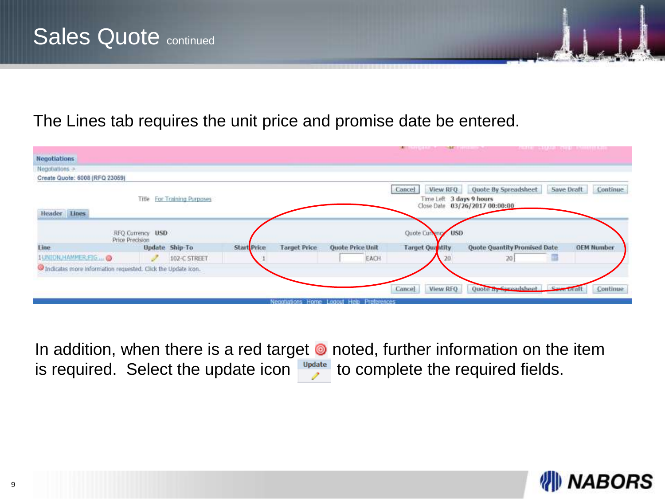#### The Lines tab requires the unit price and promise date be entered.

| <b>EMA CONTRACTOR</b>                                        |                                     |                             |                    |                     |                                           | <b>AND IN THE REAL PROPERTY AND</b>            |                                                        |                        |
|--------------------------------------------------------------|-------------------------------------|-----------------------------|--------------------|---------------------|-------------------------------------------|------------------------------------------------|--------------------------------------------------------|------------------------|
| <b>Negotiations</b>                                          |                                     |                             |                    |                     |                                           |                                                |                                                        |                        |
| Negotiations >                                               |                                     |                             |                    |                     |                                           |                                                |                                                        |                        |
| Create Quote: 6008 (RFQ 23059)                               |                                     |                             |                    |                     |                                           |                                                |                                                        |                        |
|                                                              |                                     | Title For Training Purposes |                    |                     |                                           | View RFQ<br>Cancel<br>Time Left 3 days 9 hours | Quote By Spreadsheet<br>Close Date 03/26/2017 00:00:00 | Save Draft<br>Continue |
| Header Lines                                                 |                                     |                             |                    |                     |                                           |                                                |                                                        |                        |
|                                                              | RFQ Currency USD<br>Price Precision |                             |                    |                     |                                           | Quote Currence USD                             |                                                        |                        |
| Line                                                         |                                     | <b>Update Ship-To</b>       | <b>Start Price</b> | <b>Target Price</b> | <b>Quote Price Unit</b>                   | <b>Target Quantity</b>                         | <b>Quote Quantity Promised Date</b>                    | <b>OEM Number</b>      |
| 1 UNION HAMMER FIG  @                                        |                                     | 102-C STREET                |                    |                     | EACH                                      |                                                | 20                                                     |                        |
| Indicates more information requested. Click the Update Icon. |                                     |                             |                    |                     |                                           |                                                |                                                        |                        |
|                                                              |                                     |                             |                    |                     |                                           |                                                |                                                        |                        |
|                                                              |                                     |                             |                    |                     |                                           | View RFQ<br>Cancel                             | Quote by Surpadchnot                                   | Continue               |
|                                                              |                                     |                             |                    |                     | Negotiations Home Logout Help Preferences |                                                |                                                        |                        |

In addition, when there is a red target  $\bullet$  noted, further information on the item is required. Select the update icon update to complete the required fields.

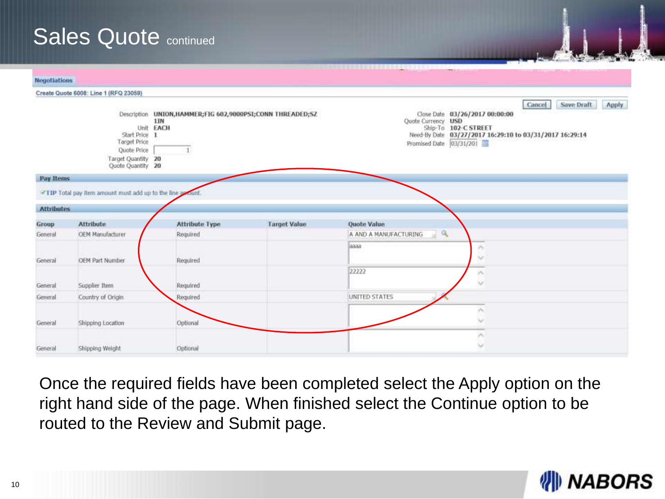# Sales Quote continued

| <b>Negotiations</b> |                                                                                                |                                                                                    |                     |                                                                                                                                                                                                     |
|---------------------|------------------------------------------------------------------------------------------------|------------------------------------------------------------------------------------|---------------------|-----------------------------------------------------------------------------------------------------------------------------------------------------------------------------------------------------|
|                     | Create Quote 6008: Line 1 (RFQ 23059)                                                          |                                                                                    |                     |                                                                                                                                                                                                     |
|                     | Start Price 1<br><b>Target Price</b><br>Quote Price<br>Target Quantity 20<br>Quote Quantity 20 | Description UNION, HAMMER; FIG 602, 9000PSI; CONN THREADED; SZ<br>1IN<br>Unit EACH |                     | Save Draft<br>Apply<br>Cancel<br>Close Date 03/26/2017 00:00:00<br>Quote Currency USD<br>Ship-To 102-C STREET<br>Need-By Date 03/27/2017 16:29:10 to 03/31/2017 16:29:14<br>Promised Date 03/31/201 |
| Pay Items           |                                                                                                |                                                                                    |                     |                                                                                                                                                                                                     |
| <b>Attributes</b>   | TIP Total pay item amount must add up to the line amount.                                      |                                                                                    |                     |                                                                                                                                                                                                     |
| Group               | Attribute                                                                                      | <b>Attribute Type</b>                                                              | <b>Target Value</b> | Quote Value                                                                                                                                                                                         |
| General             | OEM Manufacturer                                                                               | Required                                                                           |                     | $\mathbf{Q}$<br>A AND A MANUFACTURING                                                                                                                                                               |
| General             | OEM Part Number                                                                                | Required                                                                           |                     | laaaa<br>×<br>$\sim$<br>22222                                                                                                                                                                       |
| General             | Supplier Item                                                                                  | Regulred                                                                           |                     | $\mathcal{N}$<br>$\vee$                                                                                                                                                                             |
| General             | Country of Origin                                                                              | Required                                                                           |                     | UNITED STATES                                                                                                                                                                                       |
| General             | Shipping Location                                                                              | Optional                                                                           |                     | ×<br>$\sim$                                                                                                                                                                                         |
|                     |                                                                                                |                                                                                    |                     | ×                                                                                                                                                                                                   |

Once the required fields have been completed select the Apply option on the right hand side of the page. When finished select the Continue option to be routed to the Review and Submit page.